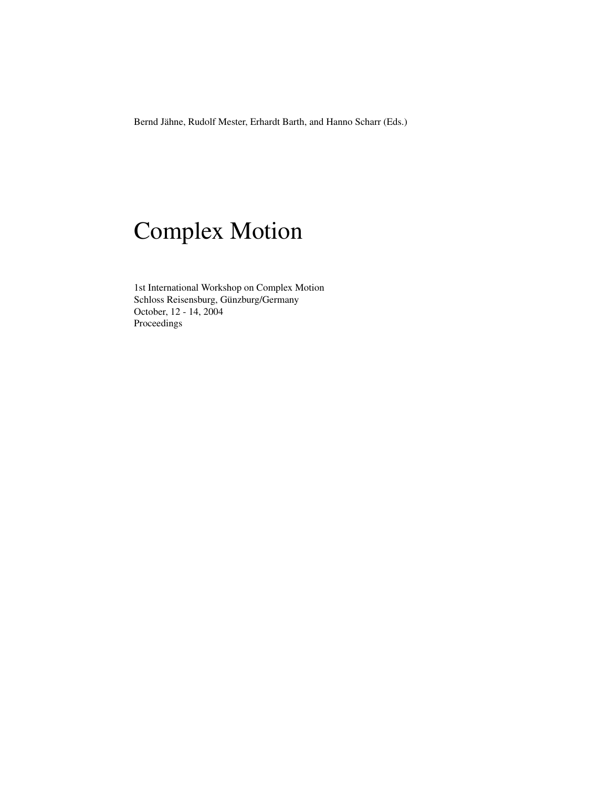Bernd Jähne, Rudolf Mester, Erhardt Barth, and Hanno Scharr (Eds.)

# Complex Motion

1st International Workshop on Complex Motion Schloss Reisensburg, Günzburg/Germany October, 12 - 14, 2004 Proceedings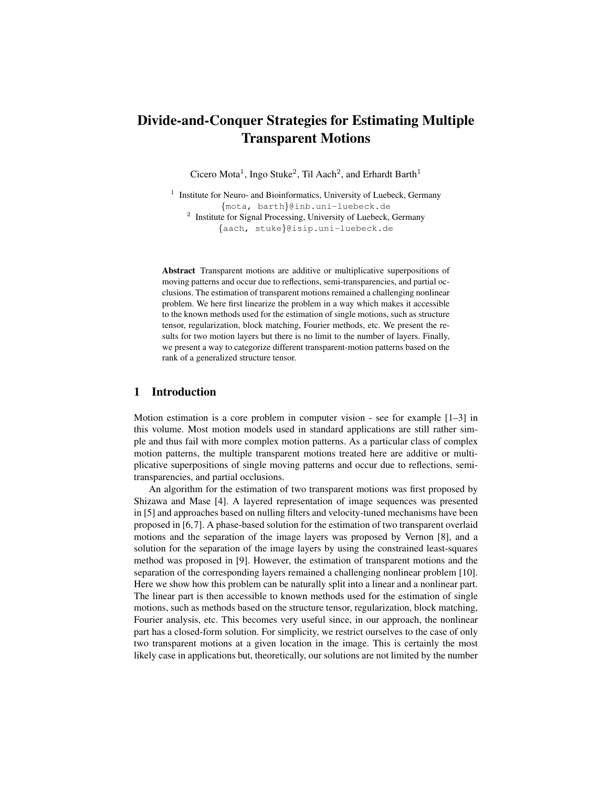# Divide-and-Conquer Strategies for Estimating Multiple Transparent Motions

Cicero Mota<sup>1</sup>, Ingo Stuke<sup>2</sup>, Til Aach<sup>2</sup>, and Erhardt Barth<sup>1</sup>

<sup>1</sup> Institute for Neuro- and Bioinformatics, University of Luebeck, Germany {mota, barth}@inb.uni-luebeck.de <sup>2</sup> Institute for Signal Processing, University of Luebeck, Germany {aach, stuke}@isip.uni-luebeck.de

Abstract Transparent motions are additive or multiplicative superpositions of moving patterns and occur due to reflections, semi-transparencies, and partial occlusions. The estimation of transparent motions remained a challenging nonlinear problem. We here first linearize the problem in a way which makes it accessible to the known methods used for the estimation of single motions, such as structure tensor, regularization, block matching, Fourier methods, etc. We present the results for two motion layers but there is no limit to the number of layers. Finally, we present a way to categorize different transparent-motion patterns based on the rank of a generalized structure tensor.

# 1 Introduction

Motion estimation is a core problem in computer vision - see for example [1–3] in this volume. Most motion models used in standard applications are still rather simple and thus fail with more complex motion patterns. As a particular class of complex motion patterns, the multiple transparent motions treated here are additive or multiplicative superpositions of single moving patterns and occur due to reflections, semitransparencies, and partial occlusions.

An algorithm for the estimation of two transparent motions was first proposed by Shizawa and Mase [4]. A layered representation of image sequences was presented in [5] and approaches based on nulling filters and velocity-tuned mechanisms have been proposed in [6,7]. A phase-based solution for the estimation of two transparent overlaid motions and the separation of the image layers was proposed by Vernon [8], and a solution for the separation of the image layers by using the constrained least-squares method was proposed in [9]. However, the estimation of transparent motions and the separation of the corresponding layers remained a challenging nonlinear problem [10]. Here we show how this problem can be naturally split into a linear and a nonlinear part. The linear part is then accessible to known methods used for the estimation of single motions, such as methods based on the structure tensor, regularization, block matching, Fourier analysis, etc. This becomes very useful since, in our approach, the nonlinear part has a closed-form solution. For simplicity, we restrict ourselves to the case of only two transparent motions at a given location in the image. This is certainly the most likely case in applications but, theoretically, our solutions are not limited by the number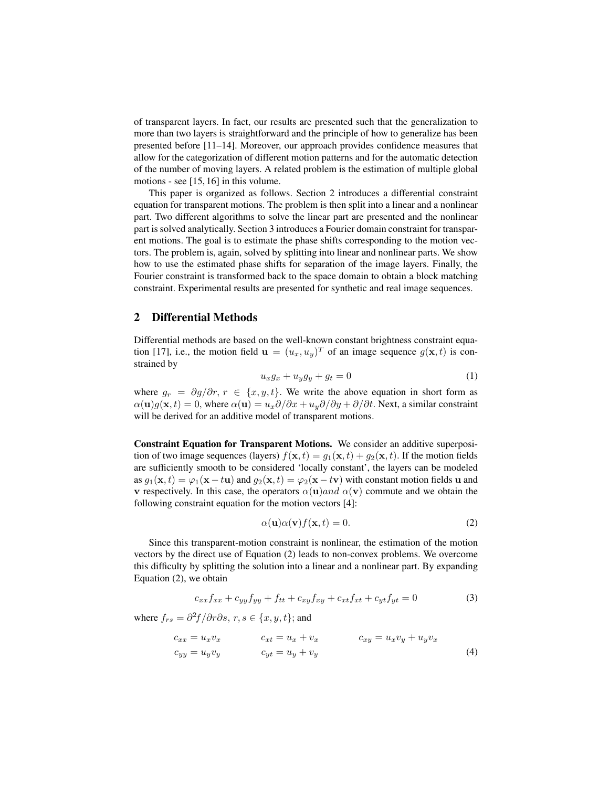of transparent layers. In fact, our results are presented such that the generalization to more than two layers is straightforward and the principle of how to generalize has been presented before [11–14]. Moreover, our approach provides confidence measures that allow for the categorization of different motion patterns and for the automatic detection of the number of moving layers. A related problem is the estimation of multiple global motions - see [15, 16] in this volume.

This paper is organized as follows. Section 2 introduces a differential constraint equation for transparent motions. The problem is then split into a linear and a nonlinear part. Two different algorithms to solve the linear part are presented and the nonlinear part is solved analytically. Section 3 introduces a Fourier domain constraint for transparent motions. The goal is to estimate the phase shifts corresponding to the motion vectors. The problem is, again, solved by splitting into linear and nonlinear parts. We show how to use the estimated phase shifts for separation of the image layers. Finally, the Fourier constraint is transformed back to the space domain to obtain a block matching constraint. Experimental results are presented for synthetic and real image sequences.

# 2 Differential Methods

Differential methods are based on the well-known constant brightness constraint equation [17], i.e., the motion field  $\mathbf{u} = (u_x, u_y)^T$  of an image sequence  $g(\mathbf{x}, t)$  is constrained by

$$
u_x g_x + u_y g_y + g_t = 0 \tag{1}
$$

where  $g_r = \partial g/\partial r$ ,  $r \in \{x, y, t\}$ . We write the above equation in short form as  $\alpha(\mathbf{u})g(\mathbf{x},t) = 0$ , where  $\alpha(\mathbf{u}) = u_x \partial/\partial x + u_y \partial/\partial y + \partial/\partial t$ . Next, a similar constraint will be derived for an additive model of transparent motions.

Constraint Equation for Transparent Motions. We consider an additive superposition of two image sequences (layers)  $f(\mathbf{x}, t) = g_1(\mathbf{x}, t) + g_2(\mathbf{x}, t)$ . If the motion fields are sufficiently smooth to be considered 'locally constant', the layers can be modeled as  $g_1(\mathbf{x}, t) = \varphi_1(\mathbf{x} - t\mathbf{u})$  and  $g_2(\mathbf{x}, t) = \varphi_2(\mathbf{x} - t\mathbf{v})$  with constant motion fields u and v respectively. In this case, the operators  $\alpha(\mathbf{u})$  and  $\alpha(\mathbf{v})$  commute and we obtain the following constraint equation for the motion vectors [4]:

$$
\alpha(\mathbf{u})\alpha(\mathbf{v})f(\mathbf{x},t) = 0.
$$
 (2)

Since this transparent-motion constraint is nonlinear, the estimation of the motion vectors by the direct use of Equation (2) leads to non-convex problems. We overcome this difficulty by splitting the solution into a linear and a nonlinear part. By expanding Equation (2), we obtain

$$
c_{xx}f_{xx} + c_{yy}f_{yy} + f_{tt} + c_{xy}f_{xy} + c_{xt}f_{xt} + c_{yt}f_{yt} = 0
$$
\n(3)

where  $f_{rs} = \frac{\partial^2 f}{\partial r \partial s}$ ,  $r, s \in \{x, y, t\}$ ; and

$$
c_{xx} = u_x v_x
$$
  
\n
$$
c_{xt} = u_x + v_x
$$
  
\n
$$
c_{xy} = u_x v_y + u_y v_x
$$
  
\n
$$
c_{yy} = u_y v_y
$$
  
\n(4)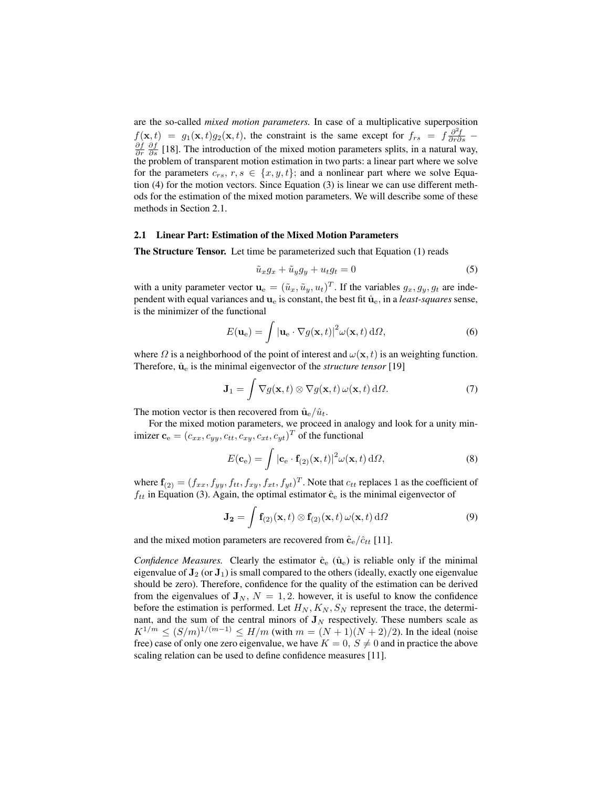are the so-called *mixed motion parameters.* In case of a multiplicative superposition  $f(\mathbf{x},t) = g_1(\mathbf{x},t)g_2(\mathbf{x},t)$ , the constraint is the same except for  $f_{rs} = f \frac{\partial^2 f}{\partial r \partial s}$  $\frac{\partial f}{\partial r}$   $\frac{\partial f}{\partial s}$  [18]. The introduction of the mixed motion parameters splits, in a natural way, the problem of transparent motion estimation in two parts: a linear part where we solve for the parameters  $c_{rs}$ ,  $r, s \in \{x, y, t\}$ ; and a nonlinear part where we solve Equation (4) for the motion vectors. Since Equation (3) is linear we can use different methods for the estimation of the mixed motion parameters. We will describe some of these methods in Section 2.1.

#### 2.1 Linear Part: Estimation of the Mixed Motion Parameters

The Structure Tensor. Let time be parameterized such that Equation (1) reads

$$
\tilde{u}_x g_x + \tilde{u}_y g_y + u_t g_t = 0 \tag{5}
$$

with a unity parameter vector  $\mathbf{u}_{e} = (\tilde{u}_x, \tilde{u}_y, u_t)^T$ . If the variables  $g_x, g_y, g_t$  are independent with equal variances and  $\mathbf{u}_e$  is constant, the best fit  $\hat{\mathbf{u}}_e$ , in a *least-squares* sense, is the minimizer of the functional

$$
E(\mathbf{u}_{e}) = \int |\mathbf{u}_{e} \cdot \nabla g(\mathbf{x}, t)|^{2} \omega(\mathbf{x}, t) d\Omega,
$$
 (6)

where  $\Omega$  is a neighborhood of the point of interest and  $\omega(\mathbf{x}, t)$  is an weighting function. Therefore,  $\hat{u}_e$  is the minimal eigenvector of the *structure tensor* [19]

$$
\mathbf{J}_1 = \int \nabla g(\mathbf{x}, t) \otimes \nabla g(\mathbf{x}, t) \,\omega(\mathbf{x}, t) \,\mathrm{d}\Omega. \tag{7}
$$

The motion vector is then recovered from  $\hat{u}_e/\hat{u}_t$ .

For the mixed motion parameters, we proceed in analogy and look for a unity minimizer  $\mathbf{c}_e = (c_{xx}, c_{yy}, c_{tt}, c_{xy}, c_{xt}, c_{yt})^T$  of the functional

$$
E(\mathbf{c}_{e}) = \int |\mathbf{c}_{e} \cdot \mathbf{f}_{(2)}(\mathbf{x}, t)|^{2} \omega(\mathbf{x}, t) d\Omega,
$$
\n(8)

where  $\mathbf{f}_{(2)} = (f_{xx}, f_{yy}, f_{tt}, f_{xy}, f_{xt}, f_{yt})^T$ . Note that  $c_{tt}$  replaces 1 as the coefficient of  $f_{tt}$  in Equation (3). Again, the optimal estimator  $\hat{c}_e$  is the minimal eigenvector of

$$
\mathbf{J_2} = \int \mathbf{f}_{(2)}(\mathbf{x},t) \otimes \mathbf{f}_{(2)}(\mathbf{x},t) \,\omega(\mathbf{x},t) \,\mathrm{d}\Omega \tag{9}
$$

and the mixed motion parameters are recovered from  $\hat{\mathbf{c}}_{e}/\hat{c}_{tt}$  [11].

*Confidence Measures.* Clearly the estimator  $\hat{c}_e$  ( $\hat{u}_e$ ) is reliable only if the minimal eigenvalue of  $J_2$  (or  $J_1$ ) is small compared to the others (ideally, exactly one eigenvalue should be zero). Therefore, confidence for the quality of the estimation can be derived from the eigenvalues of  $J_N$ ,  $N = 1, 2$ . however, it is useful to know the confidence before the estimation is performed. Let  $H_N, K_N, S_N$  represent the trace, the determinant, and the sum of the central minors of  $J_N$  respectively. These numbers scale as  $K^{1/m} \le (S/m)^{1/(m-1)} \le H/m$  (with  $m = (N+1)(N+2)/2$ ). In the ideal (noise free) case of only one zero eigenvalue, we have  $K = 0$ ,  $S \neq 0$  and in practice the above scaling relation can be used to define confidence measures [11].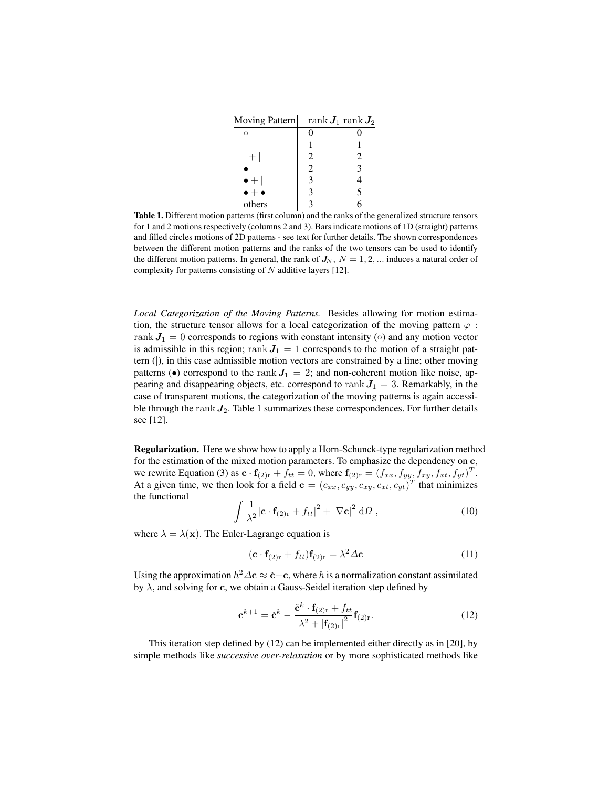| Moving Pattern      | $\operatorname{rank} \boldsymbol{J}_1 \operatorname{rank} \overline{\boldsymbol{J}_2}$ |   |
|---------------------|----------------------------------------------------------------------------------------|---|
|                     |                                                                                        |   |
|                     |                                                                                        |   |
| $+1$                | 2                                                                                      | 2 |
|                     | 2                                                                                      | 3 |
| $\bullet +$         | $\mathcal{R}$                                                                          |   |
| $\bullet + \bullet$ | 3                                                                                      | 5 |
| others              |                                                                                        |   |

Table 1. Different motion patterns (first column) and the ranks of the generalized structure tensors for 1 and 2 motions respectively (columns 2 and 3). Bars indicate motions of 1D (straight) patterns and filled circles motions of 2D patterns - see text for further details. The shown correspondences between the different motion patterns and the ranks of the two tensors can be used to identify the different motion patterns. In general, the rank of  $J_N$ ,  $N = 1, 2, ...$  induces a natural order of complexity for patterns consisting of  $N$  additive layers [12].

*Local Categorization of the Moving Patterns.* Besides allowing for motion estimation, the structure tensor allows for a local categorization of the moving pattern  $\varphi$ : rank  $J_1 = 0$  corresponds to regions with constant intensity ( $\circ$ ) and any motion vector is admissible in this region; rank  $J_1 = 1$  corresponds to the motion of a straight pattern (|), in this case admissible motion vectors are constrained by a line; other moving patterns ( $\bullet$ ) correspond to the rank  $J_1 = 2$ ; and non-coherent motion like noise, appearing and disappearing objects, etc. correspond to rank  $J_1 = 3$ . Remarkably, in the case of transparent motions, the categorization of the moving patterns is again accessible through the rank  $J_2$ . Table 1 summarizes these correspondences. For further details see [12].

Regularization. Here we show how to apply a Horn-Schunck-type regularization method for the estimation of the mixed motion parameters. To emphasize the dependency on c, we rewrite Equation (3) as  $\mathbf{c} \cdot \mathbf{f}_{(2) \cdot \mathbf{r}} + f_{tt} = 0$ , where  $\mathbf{f}_{(2) \cdot \mathbf{r}} = (f_{xx}, f_{yy}, f_{xy}, f_{xt}, f_{yt})^T$ . At a given time, we then look for a field  $\mathbf{c} = (c_{xx}, c_{yy}, c_{xy}, c_{xt}, c_{yt})^T$  that minimizes the functional

$$
\int \frac{1}{\lambda^2} |\mathbf{c} \cdot \mathbf{f}_{(2)r} + f_{tt}|^2 + |\nabla \mathbf{c}|^2 d\Omega , \qquad (10)
$$

where  $\lambda = \lambda(\mathbf{x})$ . The Euler-Lagrange equation is

$$
(\mathbf{c} \cdot \mathbf{f}_{(2) \mathbf{r}} + f_{tt}) \mathbf{f}_{(2) \mathbf{r}} = \lambda^2 \Delta \mathbf{c}
$$
 (11)

Using the approximation  $h^2 \Delta \mathbf{c} \approx \check{\mathbf{c}} - \mathbf{c}$ , where h is a normalization constant assimilated by  $\lambda$ , and solving for c, we obtain a Gauss-Seidel iteration step defined by

$$
\mathbf{c}^{k+1} = \check{\mathbf{c}}^k - \frac{\check{\mathbf{c}}^k \cdot \mathbf{f}_{(2)\mathrm{r}} + f_{tt}}{\lambda^2 + \left| \mathbf{f}_{(2)\mathrm{r}} \right|^2} \mathbf{f}_{(2)\mathrm{r}}.\tag{12}
$$

This iteration step defined by (12) can be implemented either directly as in [20], by simple methods like *successive over-relaxation* or by more sophisticated methods like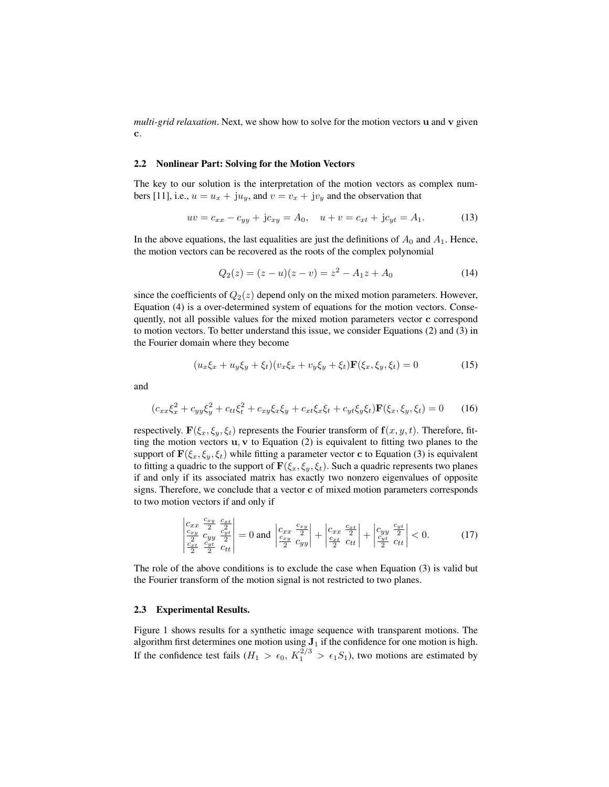*multi-grid relaxation*. Next, we show how to solve for the motion vectors u and v given c.

#### 2.2 Nonlinear Part: Solving for the Motion Vectors

The key to our solution is the interpretation of the motion vectors as complex numbers [11], i.e.,  $u = u_x + ju_y$ , and  $v = v_x + jv_y$  and the observation that

$$
uv = c_{xx} - c_{yy} + jc_{xy} = A_0, \quad u + v = c_{xt} + jc_{yt} = A_1.
$$
 (13)

In the above equations, the last equalities are just the definitions of  $A_0$  and  $A_1$ . Hence, the motion vectors can be recovered as the roots of the complex polynomial

$$
Q_2(z) = (z - u)(z - v) = z^2 - A_1 z + A_0 \tag{14}
$$

since the coefficients of  $Q_2(z)$  depend only on the mixed motion parameters. However, Equation (4) is a over-determined system of equations for the motion vectors. Consequently, not all possible values for the mixed motion parameters vector c correspond to motion vectors. To better understand this issue, we consider Equations (2) and (3) in the Fourier domain where they become

$$
(u_x \xi_x + u_y \xi_y + \xi_t)(v_x \xi_x + v_y \xi_y + \xi_t) \mathbf{F}(\xi_x, \xi_y, \xi_t) = 0
$$
\n(15)

and

$$
(c_{xx}\xi_x^2 + c_{yy}\xi_y^2 + c_{tt}\xi_t^2 + c_{xy}\xi_x\xi_y + c_{xt}\xi_x\xi_t + c_{yt}\xi_y\xi_t)\mathbf{F}(\xi_x, \xi_y, \xi_t) = 0 \tag{16}
$$

respectively.  $\mathbf{F}(\xi_x, \xi_y, \xi_t)$  represents the Fourier transform of  $\mathbf{f}(x, y, t)$ . Therefore, fitting the motion vectors  $u, v$  to Equation (2) is equivalent to fitting two planes to the support of  $\mathbf{F}(\xi_x, \xi_y, \xi_t)$  while fitting a parameter vector c to Equation (3) is equivalent to fitting a quadric to the support of  $\mathbf{F}(\xi_x, \xi_y, \xi_t)$ . Such a quadric represents two planes if and only if its associated matrix has exactly two nonzero eigenvalues of opposite signs. Therefore, we conclude that a vector c of mixed motion parameters corresponds to two motion vectors if and only if

$$
\begin{vmatrix} c_{xx} & \frac{c_{xy}}{2} & \frac{c_{xt}}{2} \\ \frac{c_{xy}}{2} & c_{yt} & \frac{c_{yt}}{2} \\ \frac{c_{xt}}{2} & \frac{c_{yt}}{2} & c_{tt} \end{vmatrix} = 0 \text{ and } \begin{vmatrix} c_{xx} & \frac{c_{xy}}{2} \\ \frac{c_{xy}}{2} & c_{yy} \end{vmatrix} + \begin{vmatrix} c_{xx} & \frac{c_{xt}}{2} \\ \frac{c_{xt}}{2} & c_{tt} \end{vmatrix} + \begin{vmatrix} c_{yy} & \frac{c_{yt}}{2} \\ \frac{c_{yt}}{2} & c_{tt} \end{vmatrix} < 0.
$$
 (17)

The role of the above conditions is to exclude the case when Equation (3) is valid but the Fourier transform of the motion signal is not restricted to two planes.

#### 2.3 Experimental Results.

Figure 1 shows results for a synthetic image sequence with transparent motions. The algorithm first determines one motion using  $J_1$  if the confidence for one motion is high. If the confidence test fails  $(H_1 > \epsilon_0, K_1^{2/3} > \epsilon_1 S_1)$ , two motions are estimated by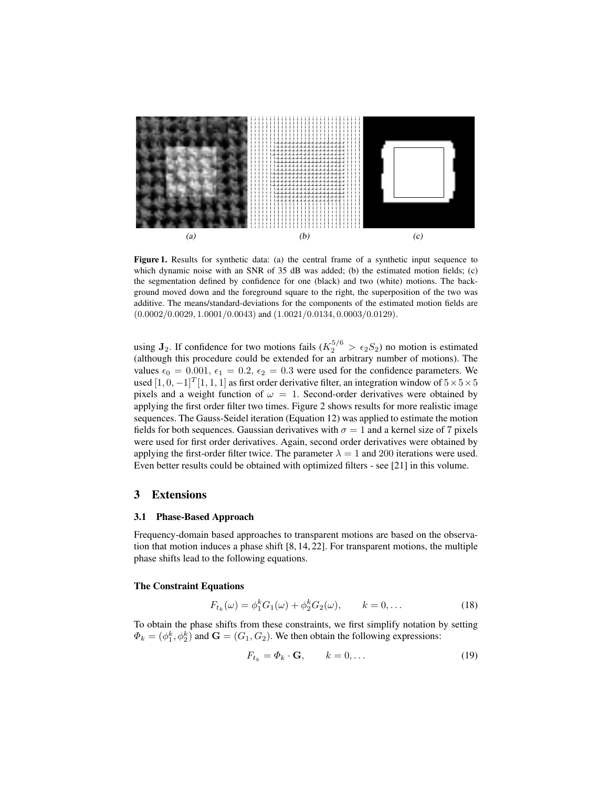

Figure 1. Results for synthetic data: (a) the central frame of a synthetic input sequence to which dynamic noise with an SNR of 35 dB was added; (b) the estimated motion fields; (c) the segmentation defined by confidence for one (black) and two (white) motions. The background moved down and the foreground square to the right, the superposition of the two was additive. The means/standard-deviations for the components of the estimated motion fields are  $(0.0002/0.0029, 1.0001/0.0043)$  and  $(1.0021/0.0134, 0.0003/0.0129)$ .

using  $J_2$ . If confidence for two motions fails ( $K_2^{5/6} > \epsilon_2 S_2$ ) no motion is estimated (although this procedure could be extended for an arbitrary number of motions). The values  $\epsilon_0 = 0.001$ ,  $\epsilon_1 = 0.2$ ,  $\epsilon_2 = 0.3$  were used for the confidence parameters. We used  $[1, 0, -1]^T[1, 1, 1]$  as first order derivative filter, an integration window of  $5 \times 5 \times 5$ pixels and a weight function of  $\omega = 1$ . Second-order derivatives were obtained by applying the first order filter two times. Figure 2 shows results for more realistic image sequences. The Gauss-Seidel iteration (Equation 12) was applied to estimate the motion fields for both sequences. Gaussian derivatives with  $\sigma = 1$  and a kernel size of 7 pixels were used for first order derivatives. Again, second order derivatives were obtained by applying the first-order filter twice. The parameter  $\lambda = 1$  and 200 iterations were used. Even better results could be obtained with optimized filters - see [21] in this volume.

#### 3 Extensions

#### 3.1 Phase-Based Approach

Frequency-domain based approaches to transparent motions are based on the observation that motion induces a phase shift [8, 14, 22]. For transparent motions, the multiple phase shifts lead to the following equations.

#### The Constraint Equations

$$
F_{t_k}(\omega) = \phi_1^k G_1(\omega) + \phi_2^k G_2(\omega), \qquad k = 0, \dots
$$
 (18)

To obtain the phase shifts from these constraints, we first simplify notation by setting  $\Phi_k = (\phi_1^k, \phi_2^k)$  and  $\mathbf{G} = (G_1, G_2)$ . We then obtain the following expressions:

$$
F_{t_k} = \Phi_k \cdot \mathbf{G}, \qquad k = 0, \dots \tag{19}
$$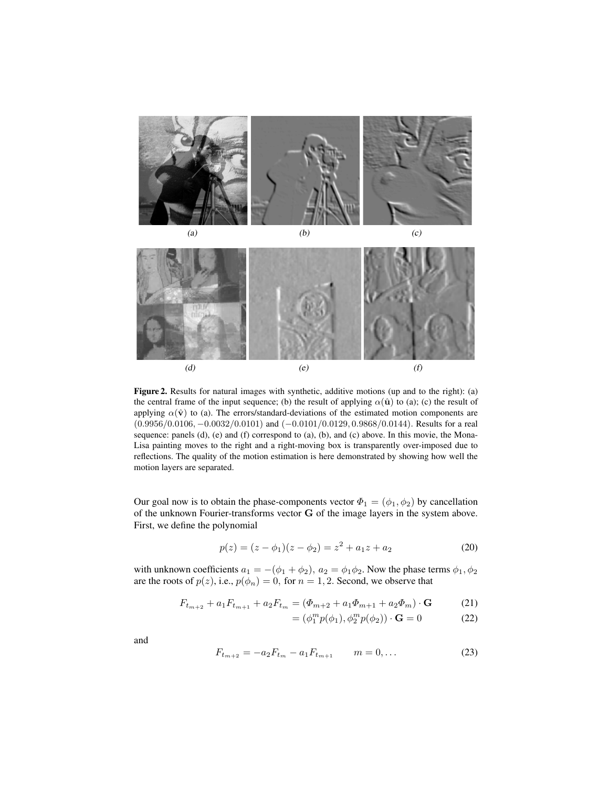



Figure 2. Results for natural images with synthetic, additive motions (up and to the right): (a) the central frame of the input sequence; (b) the result of applying  $\alpha(\hat{u})$  to (a); (c) the result of applying  $\alpha(\hat{v})$  to (a). The errors/standard-deviations of the estimated motion components are (0.9956/0.0106, −0.0032/0.0101) and (−0.0101/0.0129, 0.9868/0.0144). Results for a real sequence: panels (d), (e) and (f) correspond to (a), (b), and (c) above. In this movie, the Mona-Lisa painting moves to the right and a right-moving box is transparently over-imposed due to reflections. The quality of the motion estimation is here demonstrated by showing how well the motion layers are separated.

Our goal now is to obtain the phase-components vector  $\Phi_1 = (\phi_1, \phi_2)$  by cancellation of the unknown Fourier-transforms vector G of the image layers in the system above. First, we define the polynomial

$$
p(z) = (z - \phi_1)(z - \phi_2) = z^2 + a_1 z + a_2 \tag{20}
$$

with unknown coefficients  $a_1 = -(\phi_1 + \phi_2), a_2 = \phi_1 \phi_2$ . Now the phase terms  $\phi_1, \phi_2$ are the roots of  $p(z)$ , i.e.,  $p(\phi_n) = 0$ , for  $n = 1, 2$ . Second, we observe that

$$
F_{t_{m+2}} + a_1 F_{t_{m+1}} + a_2 F_{t_m} = (\Phi_{m+2} + a_1 \Phi_{m+1} + a_2 \Phi_m) \cdot \mathbf{G} \tag{21}
$$

$$
= (\phi_1^m p(\phi_1), \phi_2^m p(\phi_2)) \cdot \mathbf{G} = 0 \tag{22}
$$

and

$$
F_{t_{m+2}} = -a_2 F_{t_m} - a_1 F_{t_{m+1}} \qquad m = 0, \dots \tag{23}
$$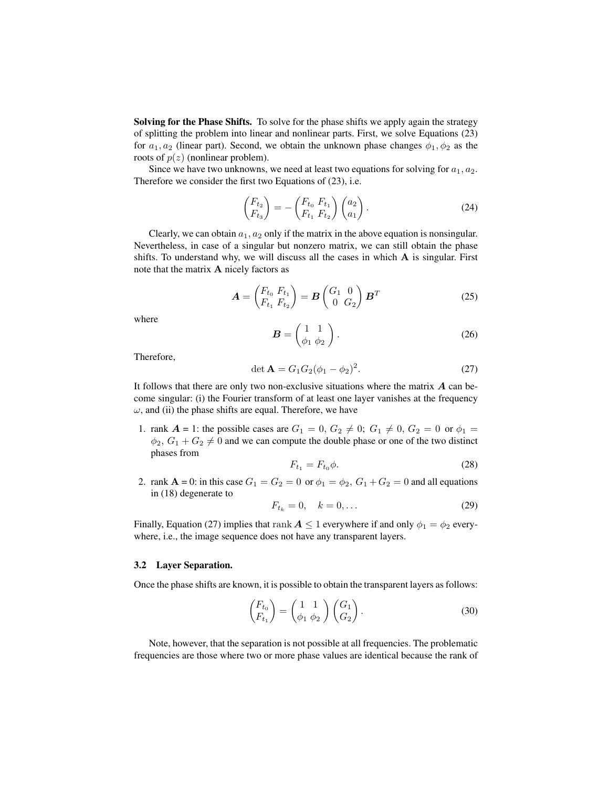**Solving for the Phase Shifts.** To solve for the phase shifts we apply again the strategy of splitting the problem into linear and nonlinear parts. First, we solve Equations (23) for  $a_1, a_2$  (linear part). Second, we obtain the unknown phase changes  $\phi_1, \phi_2$  as the roots of  $p(z)$  (nonlinear problem).

Since we have two unknowns, we need at least two equations for solving for  $a_1, a_2$ . Therefore we consider the first two Equations of (23), i.e.

$$
\begin{pmatrix} F_{t_2} \\ F_{t_3} \end{pmatrix} = - \begin{pmatrix} F_{t_0} & F_{t_1} \\ F_{t_1} & F_{t_2} \end{pmatrix} \begin{pmatrix} a_2 \\ a_1 \end{pmatrix} . \tag{24}
$$

Clearly, we can obtain  $a_1, a_2$  only if the matrix in the above equation is nonsingular. Nevertheless, in case of a singular but nonzero matrix, we can still obtain the phase shifts. To understand why, we will discuss all the cases in which  $A$  is singular. First note that the matrix A nicely factors as

$$
\mathbf{A} = \begin{pmatrix} F_{t_0} & F_{t_1} \\ F_{t_1} & F_{t_2} \end{pmatrix} = \mathbf{B} \begin{pmatrix} G_1 & 0 \\ 0 & G_2 \end{pmatrix} \mathbf{B}^T
$$
 (25)

where

$$
\boldsymbol{B} = \begin{pmatrix} 1 & 1 \\ \phi_1 & \phi_2 \end{pmatrix} . \tag{26}
$$

Therefore,

$$
\det \mathbf{A} = G_1 G_2 (\phi_1 - \phi_2)^2. \tag{27}
$$

It follows that there are only two non-exclusive situations where the matrix  $\vec{A}$  can become singular: (i) the Fourier transform of at least one layer vanishes at the frequency  $\omega$ , and (ii) the phase shifts are equal. Therefore, we have

1. rank  $A = 1$ : the possible cases are  $G_1 = 0$ ,  $G_2 \neq 0$ ;  $G_1 \neq 0$ ,  $G_2 = 0$  or  $\phi_1 =$  $\phi_2, G_1 + G_2 \neq 0$  and we can compute the double phase or one of the two distinct phases from

$$
F_{t_1} = F_{t_0} \phi. \tag{28}
$$

2. rank  $\mathbf{A} = 0$ : in this case  $G_1 = G_2 = 0$  or  $\phi_1 = \phi_2$ ,  $G_1 + G_2 = 0$  and all equations in (18) degenerate to

$$
F_{t_k} = 0, \quad k = 0, \dots \tag{29}
$$

Finally, Equation (27) implies that rank  $A \leq 1$  everywhere if and only  $\phi_1 = \phi_2$  everywhere, i.e., the image sequence does not have any transparent layers.

#### 3.2 Layer Separation.

Once the phase shifts are known, it is possible to obtain the transparent layers as follows:

$$
\begin{pmatrix} F_{t_0} \\ F_{t_1} \end{pmatrix} = \begin{pmatrix} 1 & 1 \\ \phi_1 & \phi_2 \end{pmatrix} \begin{pmatrix} G_1 \\ G_2 \end{pmatrix} . \tag{30}
$$

Note, however, that the separation is not possible at all frequencies. The problematic frequencies are those where two or more phase values are identical because the rank of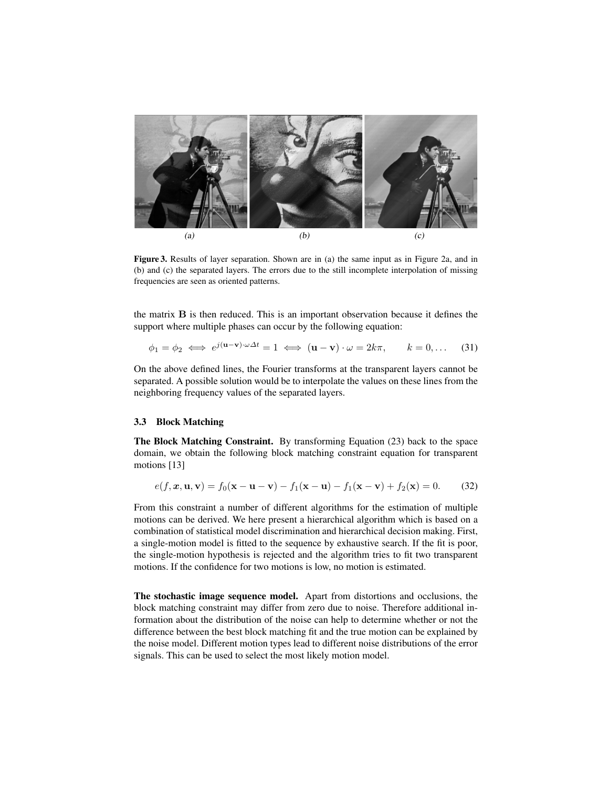

Figure 3. Results of layer separation. Shown are in (a) the same input as in Figure 2a, and in (b) and (c) the separated layers. The errors due to the still incomplete interpolation of missing frequencies are seen as oriented patterns.

the matrix B is then reduced. This is an important observation because it defines the support where multiple phases can occur by the following equation:

$$
\phi_1 = \phi_2 \iff e^{j(\mathbf{u} - \mathbf{v}) \cdot \omega \Delta t} = 1 \iff (\mathbf{u} - \mathbf{v}) \cdot \omega = 2k\pi, \qquad k = 0, \dots \tag{31}
$$

On the above defined lines, the Fourier transforms at the transparent layers cannot be separated. A possible solution would be to interpolate the values on these lines from the neighboring frequency values of the separated layers.

#### 3.3 Block Matching

The Block Matching Constraint. By transforming Equation (23) back to the space domain, we obtain the following block matching constraint equation for transparent motions [13]

$$
e(f, x, u, v) = f_0(x - u - v) - f_1(x - u) - f_1(x - v) + f_2(x) = 0.
$$
 (32)

From this constraint a number of different algorithms for the estimation of multiple motions can be derived. We here present a hierarchical algorithm which is based on a combination of statistical model discrimination and hierarchical decision making. First, a single-motion model is fitted to the sequence by exhaustive search. If the fit is poor, the single-motion hypothesis is rejected and the algorithm tries to fit two transparent motions. If the confidence for two motions is low, no motion is estimated.

The stochastic image sequence model. Apart from distortions and occlusions, the block matching constraint may differ from zero due to noise. Therefore additional information about the distribution of the noise can help to determine whether or not the difference between the best block matching fit and the true motion can be explained by the noise model. Different motion types lead to different noise distributions of the error signals. This can be used to select the most likely motion model.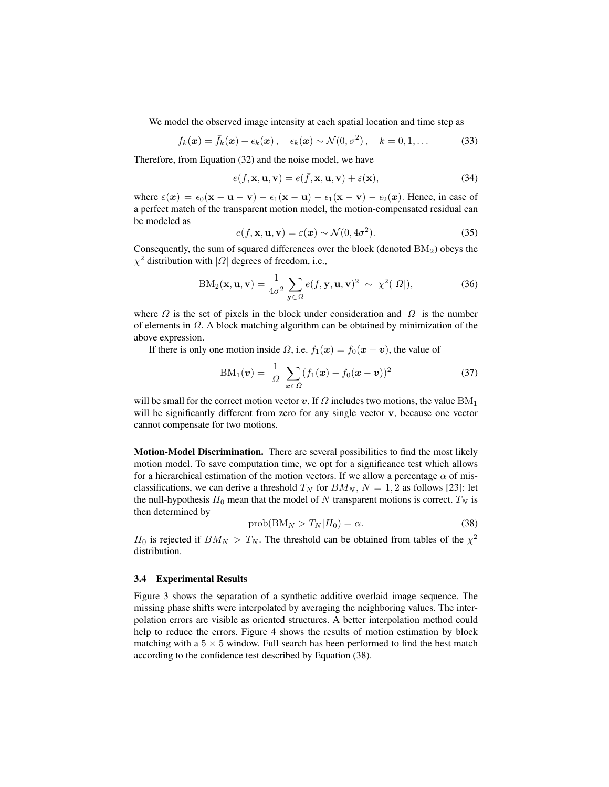We model the observed image intensity at each spatial location and time step as

$$
f_k(\boldsymbol{x}) = \bar{f}_k(\boldsymbol{x}) + \epsilon_k(\boldsymbol{x}), \quad \epsilon_k(\boldsymbol{x}) \sim \mathcal{N}(0, \sigma^2), \quad k = 0, 1, \dots
$$
 (33)

Therefore, from Equation (32) and the noise model, we have

$$
e(f, \mathbf{x}, \mathbf{u}, \mathbf{v}) = e(\bar{f}, \mathbf{x}, \mathbf{u}, \mathbf{v}) + \varepsilon(\mathbf{x}),
$$
\n(34)

where  $\varepsilon(x) = \epsilon_0(x - u - v) - \epsilon_1(x - u) - \epsilon_1(x - v) - \epsilon_2(x)$ . Hence, in case of a perfect match of the transparent motion model, the motion-compensated residual can be modeled as

$$
e(f, \mathbf{x}, \mathbf{u}, \mathbf{v}) = \varepsilon(\mathbf{x}) \sim \mathcal{N}(0, 4\sigma^2). \tag{35}
$$

Consequently, the sum of squared differences over the block (denoted  $BM<sub>2</sub>$ ) obeys the  $\chi^2$  distribution with | $\Omega$ | degrees of freedom, i.e.,

$$
BM_2(\mathbf{x}, \mathbf{u}, \mathbf{v}) = \frac{1}{4\sigma^2} \sum_{\mathbf{y} \in \Omega} e(f, \mathbf{y}, \mathbf{u}, \mathbf{v})^2 \sim \chi^2(|\Omega|),
$$
 (36)

where  $\Omega$  is the set of pixels in the block under consideration and  $|\Omega|$  is the number of elements in  $\Omega$ . A block matching algorithm can be obtained by minimization of the above expression.

If there is only one motion inside  $\Omega$ , i.e.  $f_1(x) = f_0(x - v)$ , the value of

$$
BM_1(\boldsymbol{v}) = \frac{1}{|\Omega|} \sum_{\boldsymbol{x} \in \Omega} (f_1(\boldsymbol{x}) - f_0(\boldsymbol{x} - \boldsymbol{v}))^2
$$
 (37)

will be small for the correct motion vector v. If  $\Omega$  includes two motions, the value  $BM_1$ will be significantly different from zero for any single vector v, because one vector cannot compensate for two motions.

Motion-Model Discrimination. There are several possibilities to find the most likely motion model. To save computation time, we opt for a significance test which allows for a hierarchical estimation of the motion vectors. If we allow a percentage  $\alpha$  of misclassifications, we can derive a threshold  $T_N$  for  $BM_N$ ,  $N = 1, 2$  as follows [23]: let the null-hypothesis  $H_0$  mean that the model of N transparent motions is correct.  $T_N$  is then determined by

$$
prob(BM_N > T_N | H_0) = \alpha.
$$
\n(38)

 $H_0$  is rejected if  $BM_N > T_N$ . The threshold can be obtained from tables of the  $\chi^2$ distribution.

#### 3.4 Experimental Results

Figure 3 shows the separation of a synthetic additive overlaid image sequence. The missing phase shifts were interpolated by averaging the neighboring values. The interpolation errors are visible as oriented structures. A better interpolation method could help to reduce the errors. Figure 4 shows the results of motion estimation by block matching with a  $5 \times 5$  window. Full search has been performed to find the best match according to the confidence test described by Equation (38).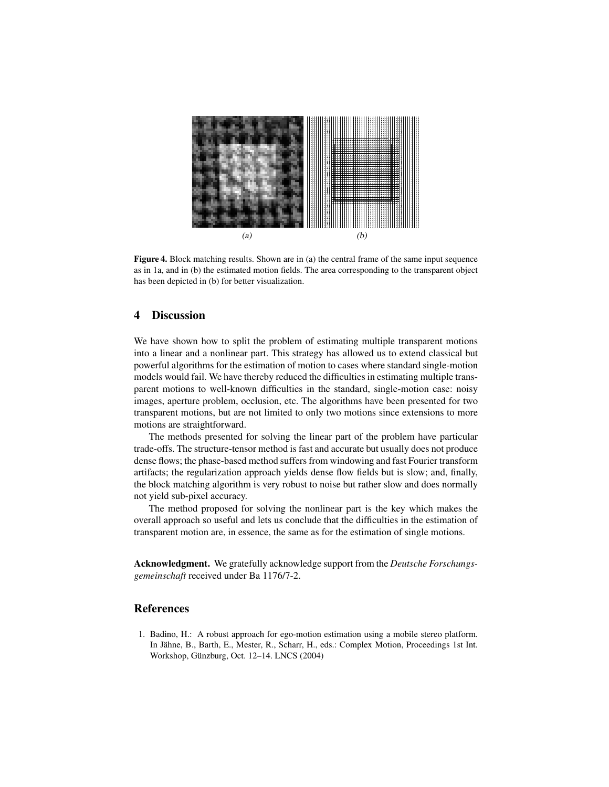

Figure 4. Block matching results. Shown are in (a) the central frame of the same input sequence as in 1a, and in (b) the estimated motion fields. The area corresponding to the transparent object has been depicted in (b) for better visualization.

# 4 Discussion

We have shown how to split the problem of estimating multiple transparent motions into a linear and a nonlinear part. This strategy has allowed us to extend classical but powerful algorithms for the estimation of motion to cases where standard single-motion models would fail. We have thereby reduced the difficulties in estimating multiple transparent motions to well-known difficulties in the standard, single-motion case: noisy images, aperture problem, occlusion, etc. The algorithms have been presented for two transparent motions, but are not limited to only two motions since extensions to more motions are straightforward.

The methods presented for solving the linear part of the problem have particular trade-offs. The structure-tensor method is fast and accurate but usually does not produce dense flows; the phase-based method suffers from windowing and fast Fourier transform artifacts; the regularization approach yields dense flow fields but is slow; and, finally, the block matching algorithm is very robust to noise but rather slow and does normally not yield sub-pixel accuracy.

The method proposed for solving the nonlinear part is the key which makes the overall approach so useful and lets us conclude that the difficulties in the estimation of transparent motion are, in essence, the same as for the estimation of single motions.

Acknowledgment. We gratefully acknowledge support from the *Deutsche Forschungsgemeinschaft* received under Ba 1176/7-2.

### References

1. Badino, H.: A robust approach for ego-motion estimation using a mobile stereo platform. In Jähne, B., Barth, E., Mester, R., Scharr, H., eds.: Complex Motion, Proceedings 1st Int. Workshop, Günzburg, Oct. 12-14. LNCS (2004)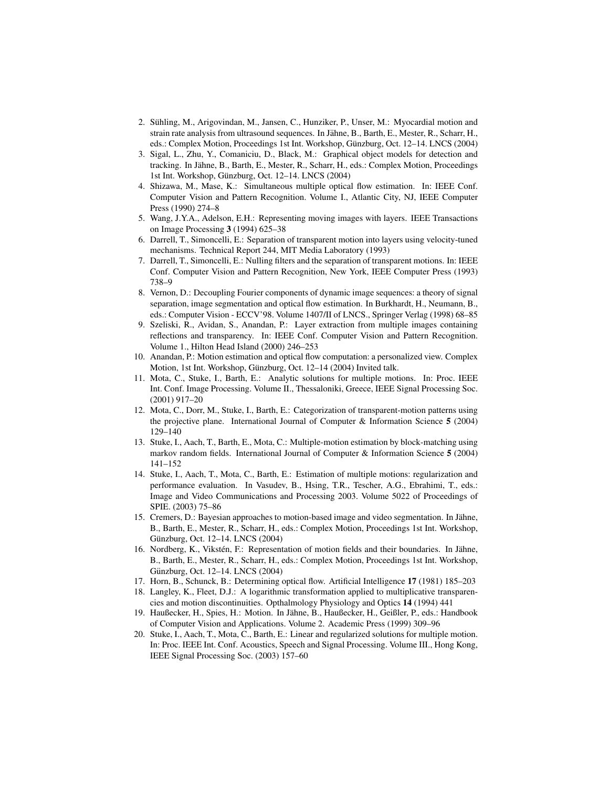- 2. Suhling, M., Arigovindan, M., Jansen, C., Hunziker, P., Unser, M.: Myocardial motion and ¨ strain rate analysis from ultrasound sequences. In Jähne, B., Barth, E., Mester, R., Scharr, H., eds.: Complex Motion, Proceedings 1st Int. Workshop, Günzburg, Oct. 12–14. LNCS (2004)
- 3. Sigal, L., Zhu, Y., Comaniciu, D., Black, M.: Graphical object models for detection and tracking. In Jahne, B., Barth, E., Mester, R., Scharr, H., eds.: Complex Motion, Proceedings ¨ 1st Int. Workshop, Günzburg, Oct. 12-14. LNCS (2004)
- 4. Shizawa, M., Mase, K.: Simultaneous multiple optical flow estimation. In: IEEE Conf. Computer Vision and Pattern Recognition. Volume I., Atlantic City, NJ, IEEE Computer Press (1990) 274–8
- 5. Wang, J.Y.A., Adelson, E.H.: Representing moving images with layers. IEEE Transactions on Image Processing 3 (1994) 625–38
- 6. Darrell, T., Simoncelli, E.: Separation of transparent motion into layers using velocity-tuned mechanisms. Technical Report 244, MIT Media Laboratory (1993)
- 7. Darrell, T., Simoncelli, E.: Nulling filters and the separation of transparent motions. In: IEEE Conf. Computer Vision and Pattern Recognition, New York, IEEE Computer Press (1993) 738–9
- 8. Vernon, D.: Decoupling Fourier components of dynamic image sequences: a theory of signal separation, image segmentation and optical flow estimation. In Burkhardt, H., Neumann, B., eds.: Computer Vision - ECCV'98. Volume 1407/II of LNCS., Springer Verlag (1998) 68–85
- 9. Szeliski, R., Avidan, S., Anandan, P.: Layer extraction from multiple images containing reflections and transparency. In: IEEE Conf. Computer Vision and Pattern Recognition. Volume 1., Hilton Head Island (2000) 246–253
- 10. Anandan, P.: Motion estimation and optical flow computation: a personalized view. Complex Motion, 1st Int. Workshop, Günzburg, Oct. 12–14 (2004) Invited talk.
- 11. Mota, C., Stuke, I., Barth, E.: Analytic solutions for multiple motions. In: Proc. IEEE Int. Conf. Image Processing. Volume II., Thessaloniki, Greece, IEEE Signal Processing Soc. (2001) 917–20
- 12. Mota, C., Dorr, M., Stuke, I., Barth, E.: Categorization of transparent-motion patterns using the projective plane. International Journal of Computer & Information Science 5 (2004) 129–140
- 13. Stuke, I., Aach, T., Barth, E., Mota, C.: Multiple-motion estimation by block-matching using markov random fields. International Journal of Computer & Information Science 5 (2004) 141–152
- 14. Stuke, I., Aach, T., Mota, C., Barth, E.: Estimation of multiple motions: regularization and performance evaluation. In Vasudev, B., Hsing, T.R., Tescher, A.G., Ebrahimi, T., eds.: Image and Video Communications and Processing 2003. Volume 5022 of Proceedings of SPIE. (2003) 75–86
- 15. Cremers, D.: Bayesian approaches to motion-based image and video segmentation. In Jähne, B., Barth, E., Mester, R., Scharr, H., eds.: Complex Motion, Proceedings 1st Int. Workshop, Günzburg, Oct. 12-14. LNCS (2004)
- 16. Nordberg, K., Vikstén, F.: Representation of motion fields and their boundaries. In Jähne, B., Barth, E., Mester, R., Scharr, H., eds.: Complex Motion, Proceedings 1st Int. Workshop, Günzburg, Oct. 12–14. LNCS (2004)
- 17. Horn, B., Schunck, B.: Determining optical flow. Artificial Intelligence 17 (1981) 185–203
- 18. Langley, K., Fleet, D.J.: A logarithmic transformation applied to multiplicative transparencies and motion discontinuities. Opthalmology Physiology and Optics 14 (1994) 441
- 19. Haußecker, H., Spies, H.: Motion. In Jahne, B., Haußecker, H., Geißler, P., eds.: Handbook ¨ of Computer Vision and Applications. Volume 2. Academic Press (1999) 309–96
- 20. Stuke, I., Aach, T., Mota, C., Barth, E.: Linear and regularized solutions for multiple motion. In: Proc. IEEE Int. Conf. Acoustics, Speech and Signal Processing. Volume III., Hong Kong, IEEE Signal Processing Soc. (2003) 157–60